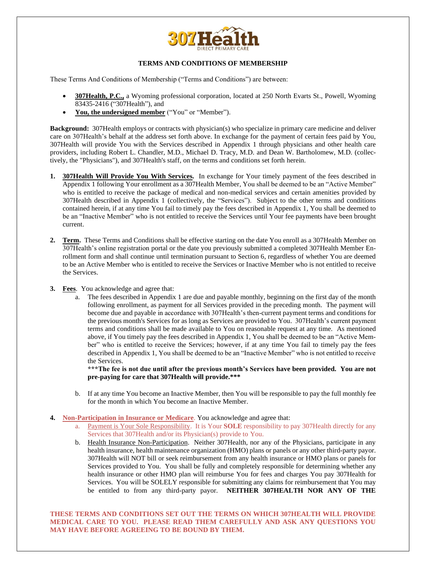

## **TERMS AND CONDITIONS OF MEMBERSHIP**

These Terms And Conditions of Membership ("Terms and Conditions") are between:

- **307Health, P.C.,** a Wyoming professional corporation, located at 250 North Evarts St., Powell, Wyoming 83435-2416 ("307Health"), and
- **You, the undersigned member** ("You" or "Member").

**Background:** 307Health employs or contracts with physician(s) who specialize in primary care medicine and deliver care on 307Health's behalf at the address set forth above. In exchange for the payment of certain fees paid by You, 307Health will provide You with the Services described in Appendix 1 through physicians and other health care providers, including Robert L. Chandler, M.D., Michael D. Tracy, M.D. and Dean W. Bartholomew, M.D. (collectively, the "Physicians"), and 307Health's staff, on the terms and conditions set forth herein.

- **1. 307Health Will Provide You With Services.** In exchange for Your timely payment of the fees described in Appendix 1 following Your enrollment as a 307Health Member, You shall be deemed to be an "Active Member" who is entitled to receive the package of medical and non-medical services and certain amenities provided by 307Health described in Appendix 1 (collectively, the "Services"). Subject to the other terms and conditions contained herein, if at any time You fail to timely pay the fees described in Appendix 1, You shall be deemed to be an "Inactive Member" who is not entitled to receive the Services until Your fee payments have been brought current.
- **2. Term.** These Terms and Conditions shall be effective starting on the date You enroll as a 307Health Member on 307Health's online registration portal or the date you previously submitted a completed 307Health Member Enrollment form and shall continue until termination pursuant to Section 6, regardless of whether You are deemed to be an Active Member who is entitled to receive the Services or Inactive Member who is not entitled to receive the Services.
- **3. Fees**. You acknowledge and agree that:
	- a. The fees described in Appendix 1 are due and payable monthly, beginning on the first day of the month following enrollment, as payment for all Services provided in the preceding month. The payment will become due and payable in accordance with 307Health's then-current payment terms and conditions for the previous month's Services for as long as Services are provided to You. 307Health's current payment terms and conditions shall be made available to You on reasonable request at any time. As mentioned above, if You timely pay the fees described in Appendix 1, You shall be deemed to be an "Active Member" who is entitled to receive the Services; however, if at any time You fail to timely pay the fees described in Appendix 1, You shall be deemed to be an "Inactive Member" who is not entitled to receive the Services.

**\*\*\*The fee is not due until after the previous month's Services have been provided. You are not pre-paying for care that 307Health will provide.\*\*\***

- b. If at any time You become an Inactive Member, then You will be responsible to pay the full monthly fee for the month in which You become an Inactive Member.
- **4. Non-Participation in Insurance or Medicare**. You acknowledge and agree that:
	- a. Payment is Your Sole Responsibility. It is Your **SOLE** responsibility to pay 307Health directly for any Services that 307Health and/or its Physician(s) provide to You.
	- b. Health Insurance Non-Participation. Neither 307Health, nor any of the Physicians, participate in any health insurance, health maintenance organization (HMO) plans or panels or any other third-party payor. 307Health will NOT bill or seek reimbursement from any health insurance or HMO plans or panels for Services provided to You. You shall be fully and completely responsible for determining whether any health insurance or other HMO plan will reimburse You for fees and charges You pay 307Health for Services. You will be SOLELY responsible for submitting any claims for reimbursement that You may be entitled to from any third-party payor. **NEITHER 307HEALTH NOR ANY OF THE**

**THESE TERMS AND CONDITIONS SET OUT THE TERMS ON WHICH 307HEALTH WILL PROVIDE MEDICAL CARE TO YOU. PLEASE READ THEM CAREFULLY AND ASK ANY QUESTIONS YOU MAY HAVE BEFORE AGREEING TO BE BOUND BY THEM.**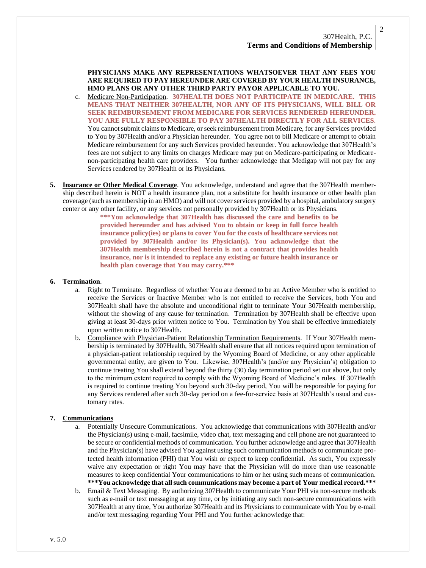**PHYSICIANS MAKE ANY REPRESENTATIONS WHATSOEVER THAT ANY FEES YOU ARE REQUIRED TO PAY HEREUNDER ARE COVERED BY YOUR HEALTH INSURANCE, HMO PLANS OR ANY OTHER THIRD PARTY PAYOR APPLICABLE TO YOU.**

- c. Medicare Non-Participation. **307HEALTH DOES NOT PARTICIPATE IN MEDICARE. THIS MEANS THAT NEITHER 307HEALTH, NOR ANY OF ITS PHYSICIANS, WILL BILL OR SEEK REIMBURSEMENT FROM MEDICARE FOR SERVICES RENDERED HEREUNDER. YOU ARE FULLY RESPONSIBLE TO PAY 307HEALTH DIRECTLY FOR ALL SERVICES**. You cannot submit claims to Medicare, or seek reimbursement from Medicare, for any Services provided to You by 307Health and/or a Physician hereunder. You agree not to bill Medicare or attempt to obtain Medicare reimbursement for any such Services provided hereunder. You acknowledge that 307Health's fees are not subject to any limits on charges Medicare may put on Medicare-participating or Medicarenon-participating health care providers. You further acknowledge that Medigap will not pay for any Services rendered by 307Health or its Physicians.
- **5. Insurance or Other Medical Coverage**. You acknowledge, understand and agree that the 307Health membership described herein is NOT a health insurance plan, not a substitute for health insurance or other health plan coverage (such as membership in an HMO) and will not cover services provided by a hospital, ambulatory surgery center or any other facility, or any services not personally provided by 307Health or its Physicians.

**\*\*\*You acknowledge that 307Health has discussed the care and benefits to be provided hereunder and has advised You to obtain or keep in full force health insurance policy(ies) or plans to cover You for the costs of healthcare services not provided by 307Health and/or its Physician(s). You acknowledge that the 307Health membership described herein is not a contract that provides health insurance, nor is it intended to replace any existing or future health insurance or health plan coverage that You may carry.\*\*\***

#### **6. Termination**.

- a. Right to Terminate. Regardless of whether You are deemed to be an Active Member who is entitled to receive the Services or Inactive Member who is not entitled to receive the Services, both You and 307Health shall have the absolute and unconditional right to terminate Your 307Health membership, without the showing of any cause for termination. Termination by 307Health shall be effective upon giving at least 30-days prior written notice to You. Termination by You shall be effective immediately upon written notice to 307Health.
- b. Compliance with Physician-Patient Relationship Termination Requirements. If Your 307Health membership is terminated by 307Health, 307Health shall ensure that all notices required upon termination of a physician-patient relationship required by the Wyoming Board of Medicine, or any other applicable governmental entity, are given to You. Likewise, 307Health's (and/or any Physician's) obligation to continue treating You shall extend beyond the thirty (30) day termination period set out above, but only to the minimum extent required to comply with the Wyoming Board of Medicine's rules. If 307Health is required to continue treating You beyond such 30-day period, You will be responsible for paying for any Services rendered after such 30-day period on a fee-for-service basis at 307Health's usual and customary rates.

#### **7. Communications**

- Potentially Unsecure Communications. You acknowledge that communications with 307Health and/or the Physician(s) using e-mail, facsimile, video chat, text messaging and cell phone are not guaranteed to be secure or confidential methods of communication. You further acknowledge and agree that 307Health and the Physician(s) have advised You against using such communication methods to communicate protected health information (PHI) that You wish or expect to keep confidential. As such, You expressly waive any expectation or right You may have that the Physician will do more than use reasonable measures to keep confidential Your communications to him or her using such means of communication. **\*\*\*You acknowledge that all such communications may become a part of Your medical record.\*\*\***
- b. Email & Text Messaging. By authorizing 307Health to communicate Your PHI via non-secure methods such as e-mail or text messaging at any time, or by initiating any such non-secure communications with 307Health at any time, You authorize 307Health and its Physicians to communicate with You by e-mail and/or text messaging regarding Your PHI and You further acknowledge that:

2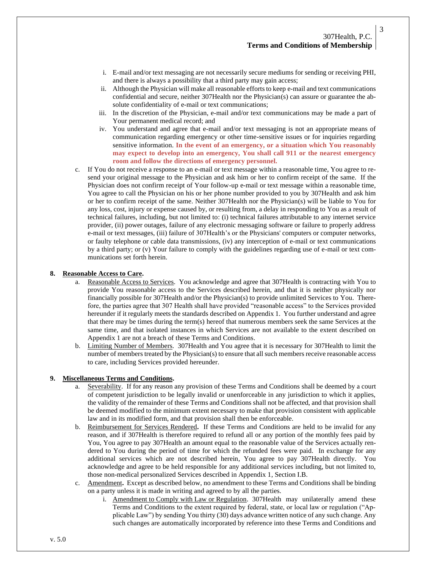- i. E-mail and/or text messaging are not necessarily secure mediums for sending or receiving PHI, and there is always a possibility that a third party may gain access;
- ii. Although the Physician will make all reasonable efforts to keep e-mail and text communications confidential and secure, neither 307Health nor the Physician(s) can assure or guarantee the absolute confidentiality of e-mail or text communications;
- iii. In the discretion of the Physician, e-mail and/or text communications may be made a part of Your permanent medical record; and
- iv. You understand and agree that e-mail and/or text messaging is not an appropriate means of communication regarding emergency or other time-sensitive issues or for inquiries regarding sensitive information. **In the event of an emergency, or a situation which You reasonably may expect to develop into an emergency, You shall call 911 or the nearest emergency room and follow the directions of emergency personnel.**
- c. If You do not receive a response to an e-mail or text message within a reasonable time, You agree to resend your original message to the Physician and ask him or her to confirm receipt of the same. If the Physician does not confirm receipt of Your follow-up e-mail or text message within a reasonable time, You agree to call the Physician on his or her phone number provided to you by 307Health and ask him or her to confirm receipt of the same. Neither 307Health nor the Physician(s) will be liable to You for any loss, cost, injury or expense caused by, or resulting from, a delay in responding to You as a result of technical failures, including, but not limited to: (i) technical failures attributable to any internet service provider, (ii) power outages, failure of any electronic messaging software or failure to properly address e-mail or text messages, (iii) failure of 307Health's or the Physicians' computers or computer networks, or faulty telephone or cable data transmissions, (iv) any interception of e-mail or text communications by a third party; or (v) Your failure to comply with the guidelines regarding use of e-mail or text communications set forth herein.

#### **8. Reasonable Access to Care.**

- a. Reasonable Access to Services. You acknowledge and agree that 307Health is contracting with You to provide You reasonable access to the Services described herein, and that it is neither physically nor financially possible for 307Health and/or the Physician(s) to provide unlimited Services to You. Therefore, the parties agree that 307 Health shall have provided "reasonable access" to the Services provided hereunder if it regularly meets the standards described on Appendix 1. You further understand and agree that there may be times during the term(s) hereof that numerous members seek the same Services at the same time, and that isolated instances in which Services are not available to the extent described on Appendix 1 are not a breach of these Terms and Conditions.
- b. Limiting Number of Members. 307Health and You agree that it is necessary for 307Health to limit the number of members treated by the Physician(s) to ensure that all such members receive reasonable access to care, including Services provided hereunder.

#### **9. Miscellaneous Terms and Conditions.**

- a. Severability. If for any reason any provision of these Terms and Conditions shall be deemed by a court of competent jurisdiction to be legally invalid or unenforceable in any jurisdiction to which it applies, the validity of the remainder of these Terms and Conditions shall not be affected, and that provision shall be deemed modified to the minimum extent necessary to make that provision consistent with applicable law and in its modified form, and that provision shall then be enforceable.
- b. Reimbursement for Services Rendered**.** If these Terms and Conditions are held to be invalid for any reason, and if 307Health is therefore required to refund all or any portion of the monthly fees paid by You, You agree to pay 307Health an amount equal to the reasonable value of the Services actually rendered to You during the period of time for which the refunded fees were paid. In exchange for any additional services which are not described herein, You agree to pay 307Health directly. You acknowledge and agree to be held responsible for any additional services including, but not limited to, those non-medical personalized Services described in Appendix 1, Section I.B.
- c. Amendment**.** Except as described below, no amendment to these Terms and Conditions shall be binding on a party unless it is made in writing and agreed to by all the parties.
	- i. Amendment to Comply with Law or Regulation. 307Health may unilaterally amend these Terms and Conditions to the extent required by federal, state, or local law or regulation ("Applicable Law") by sending You thirty (30) days advance written notice of any such change. Any such changes are automatically incorporated by reference into these Terms and Conditions and

3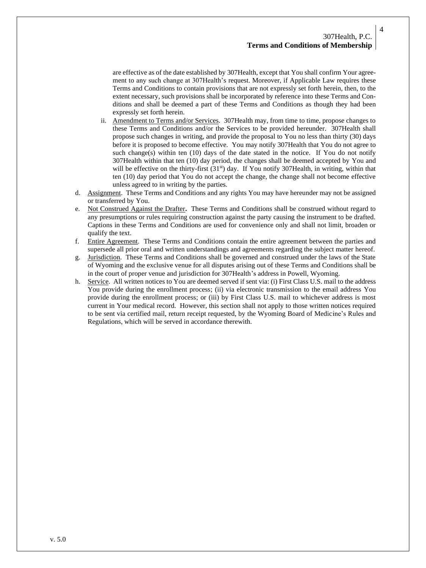are effective as of the date established by 307Health, except that You shall confirm Your agreement to any such change at 307Health's request. Moreover, if Applicable Law requires these Terms and Conditions to contain provisions that are not expressly set forth herein, then, to the extent necessary, such provisions shall be incorporated by reference into these Terms and Conditions and shall be deemed a part of these Terms and Conditions as though they had been expressly set forth herein.

- ii. Amendment to Terms and/or Services. 307Health may, from time to time, propose changes to these Terms and Conditions and/or the Services to be provided hereunder. 307Health shall propose such changes in writing, and provide the proposal to You no less than thirty (30) days before it is proposed to become effective. You may notify 307Health that You do not agree to such change(s) within ten  $(10)$  days of the date stated in the notice. If You do not notify 307Health within that ten (10) day period, the changes shall be deemed accepted by You and will be effective on the thirty-first  $(31<sup>st</sup>)$  day. If You notify 307Health, in writing, within that ten (10) day period that You do not accept the change, the change shall not become effective unless agreed to in writing by the parties.
- d. Assignment. These Terms and Conditions and any rights You may have hereunder may not be assigned or transferred by You.
- e. Not Construed Against the Drafter**.** These Terms and Conditions shall be construed without regard to any presumptions or rules requiring construction against the party causing the instrument to be drafted. Captions in these Terms and Conditions are used for convenience only and shall not limit, broaden or qualify the text.
- f. Entire Agreement. These Terms and Conditions contain the entire agreement between the parties and supersede all prior oral and written understandings and agreements regarding the subject matter hereof.
- g. Jurisdiction.These Terms and Conditions shall be governed and construed under the laws of the State of Wyoming and the exclusive venue for all disputes arising out of these Terms and Conditions shall be in the court of proper venue and jurisdiction for 307Health's address in Powell, Wyoming.
- h. Service. All written notices to You are deemed served if sent via: (i) First Class U.S. mail to the address You provide during the enrollment process; (ii) via electronic transmission to the email address You provide during the enrollment process; or (iii) by First Class U.S. mail to whichever address is most current in Your medical record. However, this section shall not apply to those written notices required to be sent via certified mail, return receipt requested, by the Wyoming Board of Medicine's Rules and Regulations, which will be served in accordance therewith.

4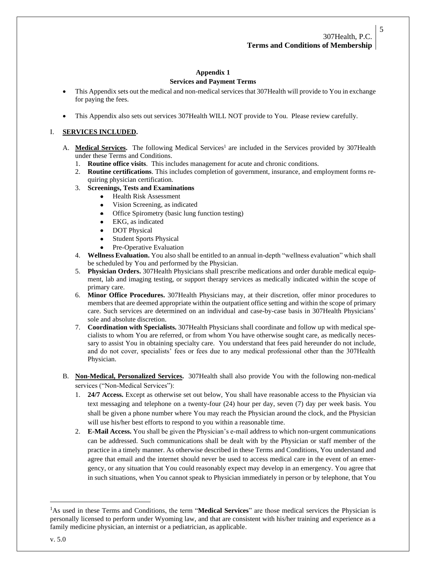# **Appendix 1**

## **Services and Payment Terms**

- This Appendix sets out the medical and non-medical services that 307Health will provide to You in exchange for paying the fees.
- This Appendix also sets out services 307Health WILL NOT provide to You. Please review carefully.

## I. **SERVICES INCLUDED.**

- A. Medical Services. The following Medical Services<sup>1</sup> are included in the Services provided by 307Health under these Terms and Conditions.
	- 1. **Routine office visits**. This includes management for acute and chronic conditions.
	- 2. **Routine certifications**. This includes completion of government, insurance, and employment forms requiring physician certification.
	- 3. **Screenings, Tests and Examinations**
		- Health Risk Assessment
		- Vision Screening, as indicated
		- Office Spirometry (basic lung function testing)
		- EKG, as indicated
		- DOT Physical
		- Student Sports Physical
		- Pre-Operative Evaluation
	- 4. **Wellness Evaluation.** You also shall be entitled to an annual in-depth "wellness evaluation" which shall be scheduled by You and performed by the Physician.
	- 5. **Physician Orders.** 307Health Physicians shall prescribe medications and order durable medical equipment, lab and imaging testing, or support therapy services as medically indicated within the scope of primary care.
	- 6. **Minor Office Procedures.** 307Health Physicians may, at their discretion, offer minor procedures to members that are deemed appropriate within the outpatient office setting and within the scope of primary care. Such services are determined on an individual and case-by-case basis in 307Health Physicians' sole and absolute discretion.
	- 7. **Coordination with Specialists.** 307Health Physicians shall coordinate and follow up with medical specialists to whom You are referred, or from whom You have otherwise sought care, as medically necessary to assist You in obtaining specialty care. You understand that fees paid hereunder do not include, and do not cover, specialists' fees or fees due to any medical professional other than the 307Health Physician.
- B. **Non-Medical, Personalized Services.** 307Health shall also provide You with the following non-medical services ("Non-Medical Services"):
	- 1. **24/7 Access.** Except as otherwise set out below, You shall have reasonable access to the Physician via text messaging and telephone on a twenty-four (24) hour per day, seven (7) day per week basis. You shall be given a phone number where You may reach the Physician around the clock, and the Physician will use his/her best efforts to respond to you within a reasonable time.
	- 2. **E-Mail Access.** You shall be given the Physician's e-mail address to which non-urgent communications can be addressed. Such communications shall be dealt with by the Physician or staff member of the practice in a timely manner. As otherwise described in these Terms and Conditions, You understand and agree that email and the internet should never be used to access medical care in the event of an emergency, or any situation that You could reasonably expect may develop in an emergency. You agree that in such situations, when You cannot speak to Physician immediately in person or by telephone, that You

<sup>1</sup>As used in these Terms and Conditions, the term "**Medical Services**" are those medical services the Physician is personally licensed to perform under Wyoming law, and that are consistent with his/her training and experience as a family medicine physician, an internist or a pediatrician, as applicable.